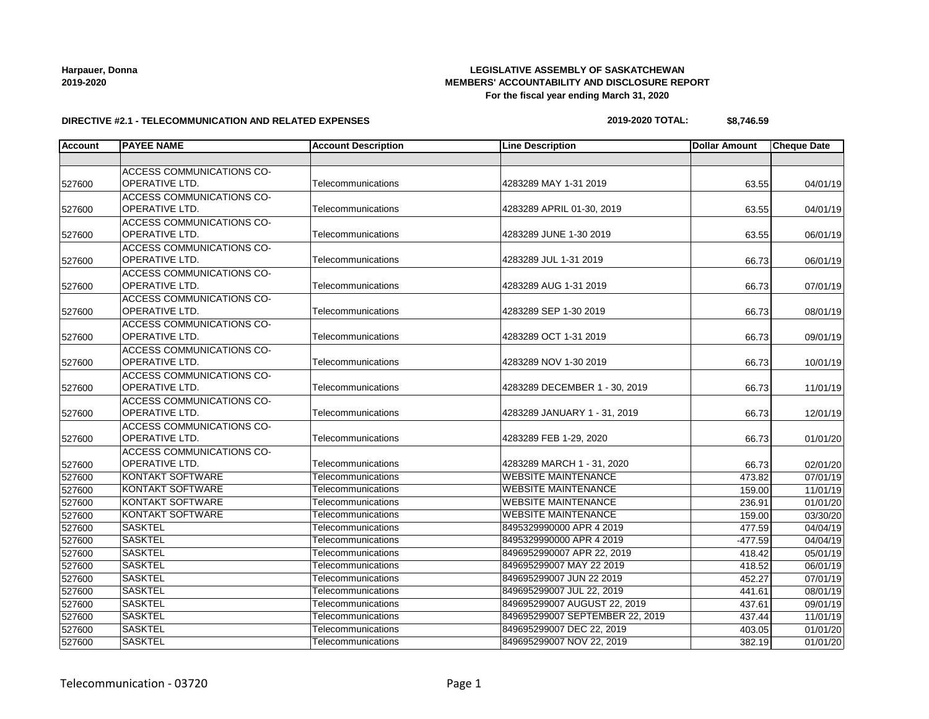## **LEGISLATIVE ASSEMBLY OF SASKATCHEWAN MEMBERS' ACCOUNTABILITY AND DISCLOSURE REPORT For the fiscal year ending March 31, 2020**

#### **DIRECTIVE #2.1 - TELECOMMUNICATION AND RELATED EXPENSES**

#### **2019-2020 TOTAL: \$8,746.59**

| <b>Account</b> | <b>PAYEE NAME</b>         | <b>Account Description</b> | <b>Line Description</b>         | <b>Dollar Amount</b> | <b>Cheque Date</b> |
|----------------|---------------------------|----------------------------|---------------------------------|----------------------|--------------------|
|                |                           |                            |                                 |                      |                    |
|                | ACCESS COMMUNICATIONS CO- |                            |                                 |                      |                    |
| 527600         | OPERATIVE LTD.            | Telecommunications         | 4283289 MAY 1-31 2019           | 63.55                | 04/01/19           |
|                | ACCESS COMMUNICATIONS CO- |                            |                                 |                      |                    |
| 527600         | <b>OPERATIVE LTD.</b>     | Telecommunications         | 4283289 APRIL 01-30, 2019       | 63.55                | 04/01/19           |
|                | ACCESS COMMUNICATIONS CO- |                            |                                 |                      |                    |
| 527600         | OPERATIVE LTD.            | Telecommunications         | 4283289 JUNE 1-30 2019          | 63.55                | 06/01/19           |
|                | ACCESS COMMUNICATIONS CO- |                            |                                 |                      |                    |
| 527600         | <b>OPERATIVE LTD.</b>     | Telecommunications         | 4283289 JUL 1-31 2019           | 66.73                | 06/01/19           |
|                | ACCESS COMMUNICATIONS CO- |                            |                                 |                      |                    |
| 527600         | <b>OPERATIVE LTD.</b>     | Telecommunications         | 4283289 AUG 1-31 2019           | 66.73                | 07/01/19           |
|                | ACCESS COMMUNICATIONS CO- |                            |                                 |                      |                    |
| 527600         | OPERATIVE LTD.            | Telecommunications         | 4283289 SEP 1-30 2019           | 66.73                | 08/01/19           |
|                | ACCESS COMMUNICATIONS CO- |                            |                                 |                      |                    |
| 527600         | OPERATIVE LTD.            | Telecommunications         | 4283289 OCT 1-31 2019           | 66.73                | 09/01/19           |
|                | ACCESS COMMUNICATIONS CO- |                            |                                 |                      |                    |
| 527600         | OPERATIVE LTD.            | Telecommunications         | 4283289 NOV 1-30 2019           | 66.73                | 10/01/19           |
|                | ACCESS COMMUNICATIONS CO- |                            |                                 |                      |                    |
| 527600         | OPERATIVE LTD.            | Telecommunications         | 4283289 DECEMBER 1 - 30, 2019   | 66.73                | 11/01/19           |
|                | ACCESS COMMUNICATIONS CO- |                            |                                 |                      |                    |
| 527600         | OPERATIVE LTD.            | Telecommunications         | 4283289 JANUARY 1 - 31, 2019    | 66.73                | 12/01/19           |
|                | ACCESS COMMUNICATIONS CO- |                            |                                 |                      |                    |
| 527600         | OPERATIVE LTD.            | Telecommunications         | 4283289 FEB 1-29, 2020          | 66.73                | 01/01/20           |
|                | ACCESS COMMUNICATIONS CO- |                            |                                 |                      |                    |
| 527600         | OPERATIVE LTD.            | Telecommunications         | 4283289 MARCH 1 - 31, 2020      | 66.73                | 02/01/20           |
| 527600         | <b>KONTAKT SOFTWARE</b>   | Telecommunications         | <b>WEBSITE MAINTENANCE</b>      | 473.82               | 07/01/19           |
| 527600         | <b>KONTAKT SOFTWARE</b>   | Telecommunications         | <b>WEBSITE MAINTENANCE</b>      | 159.00               | 11/01/19           |
| 527600         | <b>KONTAKT SOFTWARE</b>   | Telecommunications         | <b>WEBSITE MAINTENANCE</b>      | 236.91               | 01/01/20           |
| 527600         | <b>KONTAKT SOFTWARE</b>   | Telecommunications         | <b>WEBSITE MAINTENANCE</b>      | 159.00               | 03/30/20           |
| 527600         | <b>SASKTEL</b>            | Telecommunications         | 8495329990000 APR 4 2019        | 477.59               | 04/04/19           |
| 527600         | <b>SASKTEL</b>            | Telecommunications         | 8495329990000 APR 4 2019        | $-477.59$            | 04/04/19           |
| 527600         | <b>SASKTEL</b>            | Telecommunications         | 8496952990007 APR 22, 2019      | 418.42               | 05/01/19           |
| 527600         | <b>SASKTEL</b>            | Telecommunications         | 849695299007 MAY 22 2019        | 418.52               | 06/01/19           |
| 527600         | <b>SASKTEL</b>            | Telecommunications         | 849695299007 JUN 22 2019        | 452.27               | 07/01/19           |
| 527600         | <b>SASKTEL</b>            | Telecommunications         | 849695299007 JUL 22, 2019       | 441.61               | 08/01/19           |
| 527600         | <b>SASKTEL</b>            | Telecommunications         | 849695299007 AUGUST 22, 2019    | 437.61               | 09/01/19           |
| 527600         | <b>SASKTEL</b>            | Telecommunications         | 849695299007 SEPTEMBER 22, 2019 | 437.44               | 11/01/19           |
| 527600         | <b>SASKTEL</b>            | Telecommunications         | 849695299007 DEC 22, 2019       | 403.05               | 01/01/20           |
| 527600         | <b>SASKTEL</b>            | Telecommunications         | 849695299007 NOV 22, 2019       | 382.19               | 01/01/20           |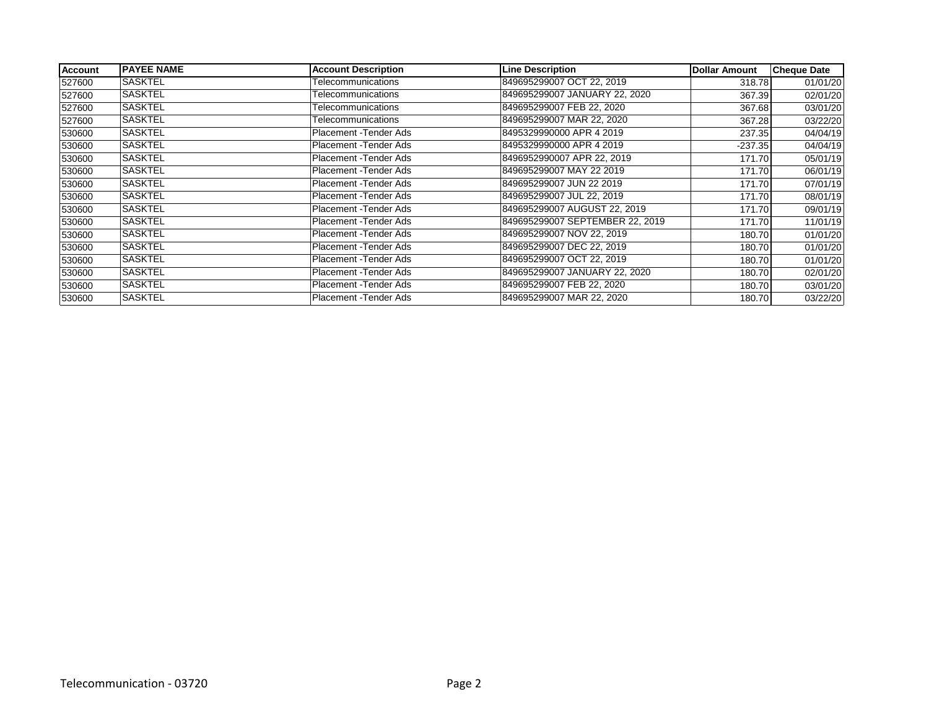| <b>Account</b> | <b>PAYEE NAME</b> | <b>Account Description</b> | <b>Line Description</b>         | <b>Dollar Amount</b> | <b>Cheque Date</b> |
|----------------|-------------------|----------------------------|---------------------------------|----------------------|--------------------|
| 527600         | <b>SASKTEL</b>    | Telecommunications         | 849695299007 OCT 22, 2019       | 318.78               | 01/01/20           |
| 527600         | <b>SASKTEL</b>    | Telecommunications         | 849695299007 JANUARY 22, 2020   | 367.39               | 02/01/20           |
| 527600         | <b>SASKTEL</b>    | Telecommunications         | 849695299007 FEB 22, 2020       | 367.68               | 03/01/20           |
| 527600         | <b>SASKTEL</b>    | Telecommunications         | 849695299007 MAR 22, 2020       | 367.28               | 03/22/20           |
| 530600         | <b>SASKTEL</b>    | Placement - Tender Ads     | 8495329990000 APR 4 2019        | 237.35               | 04/04/19           |
| 530600         | <b>SASKTEL</b>    | Placement - Tender Ads     | 8495329990000 APR 4 2019        | $-237.35$            | 04/04/19           |
| 530600         | ISASKTEL          | Placement - Tender Ads     | 8496952990007 APR 22, 2019      | 171.70               | 05/01/19           |
| 530600         | SASKTEL           | Placement - Tender Ads     | 849695299007 MAY 22 2019        | 171.70               | 06/01/19           |
| 530600         | <b>SASKTEL</b>    | Placement - Tender Ads     | 849695299007 JUN 22 2019        | 171.70               | 07/01/19           |
| 530600         | SASKTEL           | Placement - Tender Ads     | 849695299007 JUL 22, 2019       | 171.70               | 08/01/19           |
| 530600         | SASKTEL           | Placement - Tender Ads     | 849695299007 AUGUST 22, 2019    | 171.70               | 09/01/19           |
| 530600         | SASKTEL           | Placement - Tender Ads     | 849695299007 SEPTEMBER 22, 2019 | 171.70               | 11/01/19           |
| 530600         | <b>SASKTEL</b>    | Placement - Tender Ads     | 849695299007 NOV 22, 2019       | 180.70               | 01/01/20           |
| 530600         | <b>SASKTEL</b>    | Placement - Tender Ads     | 849695299007 DEC 22, 2019       | 180.70               | 01/01/20           |
| 530600         | SASKTEL           | Placement - Tender Ads     | 849695299007 OCT 22, 2019       | 180.70               | 01/01/20           |
| 530600         | <b>SASKTEL</b>    | Placement - Tender Ads     | 849695299007 JANUARY 22, 2020   | 180.70               | 02/01/20           |
| 530600         | <b>SASKTEL</b>    | Placement - Tender Ads     | 849695299007 FEB 22, 2020       | 180.70               | 03/01/20           |
| 530600         | <b>SASKTEL</b>    | Placement - Tender Ads     | 849695299007 MAR 22, 2020       | 180.70               | 03/22/20           |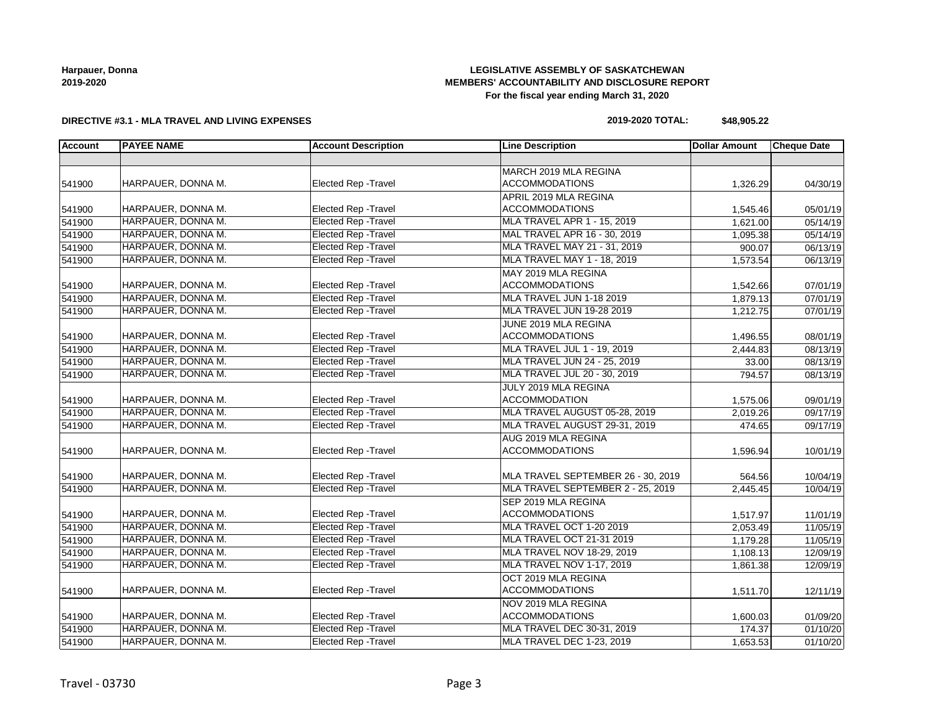## **LEGISLATIVE ASSEMBLY OF SASKATCHEWAN MEMBERS' ACCOUNTABILITY AND DISCLOSURE REPORT For the fiscal year ending March 31, 2020**

### **DIRECTIVE #3.1 - MLA TRAVEL AND LIVING EXPENSES**

#### **2019-2020 TOTAL: \$48,905.22**

| Account | <b>PAYEE NAME</b>  | <b>Account Description</b>  | <b>Line Description</b>            | <b>Dollar Amount</b> | <b>Cheque Date</b>    |
|---------|--------------------|-----------------------------|------------------------------------|----------------------|-----------------------|
|         |                    |                             |                                    |                      |                       |
|         |                    |                             | MARCH 2019 MLA REGINA              |                      |                       |
| 541900  | HARPAUER, DONNA M. | Elected Rep - Travel        | <b>ACCOMMODATIONS</b>              | 1,326.29             | 04/30/19              |
|         |                    |                             | APRIL 2019 MLA REGINA              |                      |                       |
| 541900  | HARPAUER, DONNA M. | Elected Rep - Travel        | <b>ACCOMMODATIONS</b>              | 1,545.46             | 05/01/19              |
| 541900  | HARPAUER, DONNA M. | <b>Elected Rep - Travel</b> | MLA TRAVEL APR 1 - 15, 2019        | 1,621.00             | 05/14/19              |
| 541900  | HARPAUER, DONNA M. | <b>Elected Rep - Travel</b> | MAL TRAVEL APR 16 - 30, 2019       | 1,095.38             | 05/14/19              |
| 541900  | HARPAUER, DONNA M. | <b>Elected Rep - Travel</b> | MLA TRAVEL MAY 21 - 31, 2019       | 900.07               | 06/13/19              |
| 541900  | HARPAUER, DONNA M. | Elected Rep - Travel        | MLA TRAVEL MAY 1 - 18, 2019        | 1,573.54             | 06/13/19              |
|         |                    |                             | MAY 2019 MLA REGINA                |                      |                       |
| 541900  | HARPAUER, DONNA M. | <b>Elected Rep - Travel</b> | <b>ACCOMMODATIONS</b>              | 1,542.66             | 07/01/19              |
| 541900  | HARPAUER, DONNA M. | <b>Elected Rep - Travel</b> | MLA TRAVEL JUN 1-18 2019           | 1,879.13             | $\overline{07/01/19}$ |
| 541900  | HARPAUER, DONNA M. | <b>Elected Rep - Travel</b> | MLA TRAVEL JUN 19-28 2019          | 1,212.75             | 07/01/19              |
|         |                    |                             | JUNE 2019 MLA REGINA               |                      |                       |
| 541900  | HARPAUER, DONNA M. | <b>Elected Rep - Travel</b> | <b>ACCOMMODATIONS</b>              | 1,496.55             | 08/01/19              |
| 541900  | HARPAUER, DONNA M. | <b>Elected Rep - Travel</b> | MLA TRAVEL JUL 1 - 19, 2019        | 2,444.83             | 08/13/19              |
| 541900  | HARPAUER, DONNA M. | <b>Elected Rep - Travel</b> | MLA TRAVEL JUN 24 - 25, 2019       | 33.00                | 08/13/19              |
| 541900  | HARPAUER, DONNA M. | <b>Elected Rep - Travel</b> | MLA TRAVEL JUL 20 - 30, 2019       | 794.57               | 08/13/19              |
|         |                    |                             | JULY 2019 MLA REGINA               |                      |                       |
| 541900  | HARPAUER, DONNA M. | Elected Rep - Travel        | <b>ACCOMMODATION</b>               | 1,575.06             | 09/01/19              |
| 541900  | HARPAUER, DONNA M. | <b>Elected Rep - Travel</b> | MLA TRAVEL AUGUST 05-28, 2019      | 2,019.26             | 09/17/19              |
| 541900  | HARPAUER, DONNA M. | <b>Elected Rep - Travel</b> | MLA TRAVEL AUGUST 29-31, 2019      | 474.65               | 09/17/19              |
|         |                    |                             | AUG 2019 MLA REGINA                |                      |                       |
| 541900  | HARPAUER, DONNA M. | Elected Rep - Travel        | <b>ACCOMMODATIONS</b>              | 1,596.94             | 10/01/19              |
|         |                    |                             |                                    |                      |                       |
| 541900  | HARPAUER, DONNA M. | Elected Rep - Travel        | MLA TRAVEL SEPTEMBER 26 - 30, 2019 | 564.56               | 10/04/19              |
| 541900  | HARPAUER, DONNA M. | <b>Elected Rep - Travel</b> | MLA TRAVEL SEPTEMBER 2 - 25, 2019  | 2,445.45             | 10/04/19              |
|         |                    |                             | SEP 2019 MLA REGINA                |                      |                       |
| 541900  | HARPAUER, DONNA M. | <b>Elected Rep - Travel</b> | <b>ACCOMMODATIONS</b>              | 1,517.97             | 11/01/19              |
| 541900  | HARPAUER, DONNA M. | <b>Elected Rep - Travel</b> | MLA TRAVEL OCT 1-20 2019           | 2,053.49             | 11/05/19              |
| 541900  | HARPAUER, DONNA M. | <b>Elected Rep - Travel</b> | MLA TRAVEL OCT 21-31 2019          | 1,179.28             | 11/05/19              |
| 541900  | HARPAUER, DONNA M. | <b>Elected Rep - Travel</b> | MLA TRAVEL NOV 18-29, 2019         | 1,108.13             | 12/09/19              |
| 541900  | HARPAUER, DONNA M. | <b>Elected Rep - Travel</b> | MLA TRAVEL NOV 1-17, 2019          | 1,861.38             | 12/09/19              |
|         |                    |                             | OCT 2019 MLA REGINA                |                      |                       |
| 541900  | HARPAUER, DONNA M. | Elected Rep - Travel        | <b>ACCOMMODATIONS</b>              | 1,511.70             | 12/11/19              |
|         |                    |                             | NOV 2019 MLA REGINA                |                      |                       |
| 541900  | HARPAUER, DONNA M. | Elected Rep - Travel        | <b>ACCOMMODATIONS</b>              | 1,600.03             | 01/09/20              |
| 541900  | HARPAUER, DONNA M. | <b>Elected Rep - Travel</b> | MLA TRAVEL DEC 30-31, 2019         | 174.37               | 01/10/20              |
| 541900  | HARPAUER, DONNA M. | <b>Elected Rep - Travel</b> | MLA TRAVEL DEC 1-23, 2019          | 1,653.53             | 01/10/20              |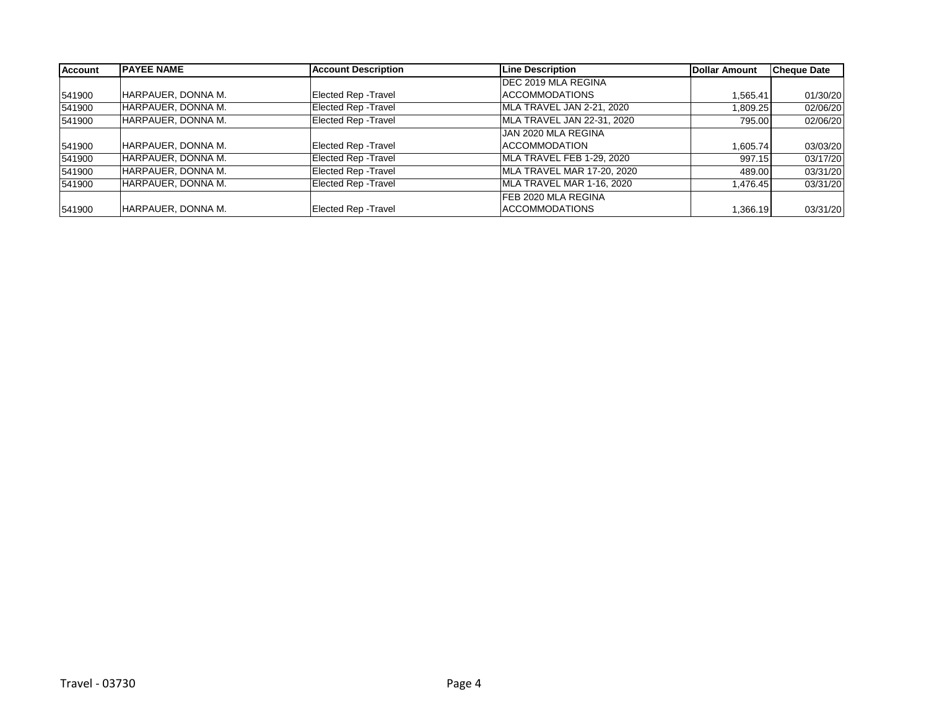| <b>Account</b> | <b>IPAYEE NAME</b> | <b>Account Description</b>  | <b>Line Description</b>    | <b>Dollar Amount</b> | <b>Cheque Date</b> |
|----------------|--------------------|-----------------------------|----------------------------|----------------------|--------------------|
|                |                    |                             | <b>DEC 2019 MLA REGINA</b> |                      |                    |
| 541900         | HARPAUER, DONNA M. | Elected Rep - Travel        | ACCOMMODATIONS             | 1,565.41             | 01/30/20           |
| 541900         | HARPAUER, DONNA M. | <b>Elected Rep - Travel</b> | MLA TRAVEL JAN 2-21, 2020  | 1,809.25             | 02/06/20           |
| 541900         | HARPAUER, DONNA M. | Elected Rep - Travel        | MLA TRAVEL JAN 22-31, 2020 | 795.00               | 02/06/20           |
|                |                    |                             | JAN 2020 MLA REGINA        |                      |                    |
| 541900         | HARPAUER, DONNA M. | <b>Elected Rep - Travel</b> | <b>ACCOMMODATION</b>       | 1,605.74             | 03/03/20           |
| 541900         | HARPAUER, DONNA M. | Elected Rep - Travel        | MLA TRAVEL FEB 1-29, 2020  | 997.15               | 03/17/20           |
| 541900         | HARPAUER, DONNA M. | <b>Elected Rep - Travel</b> | MLA TRAVEL MAR 17-20, 2020 | 489.00               | 03/31/20           |
| 541900         | HARPAUER, DONNA M. | Elected Rep - Travel        | MLA TRAVEL MAR 1-16, 2020  | 1,476.45             | 03/31/20           |
|                |                    |                             | IFEB 2020 MLA REGINA       |                      |                    |
| 541900         | HARPAUER, DONNA M. | Elected Rep - Travel        | <b>ACCOMMODATIONS</b>      | 1,366.19             | 03/31/20           |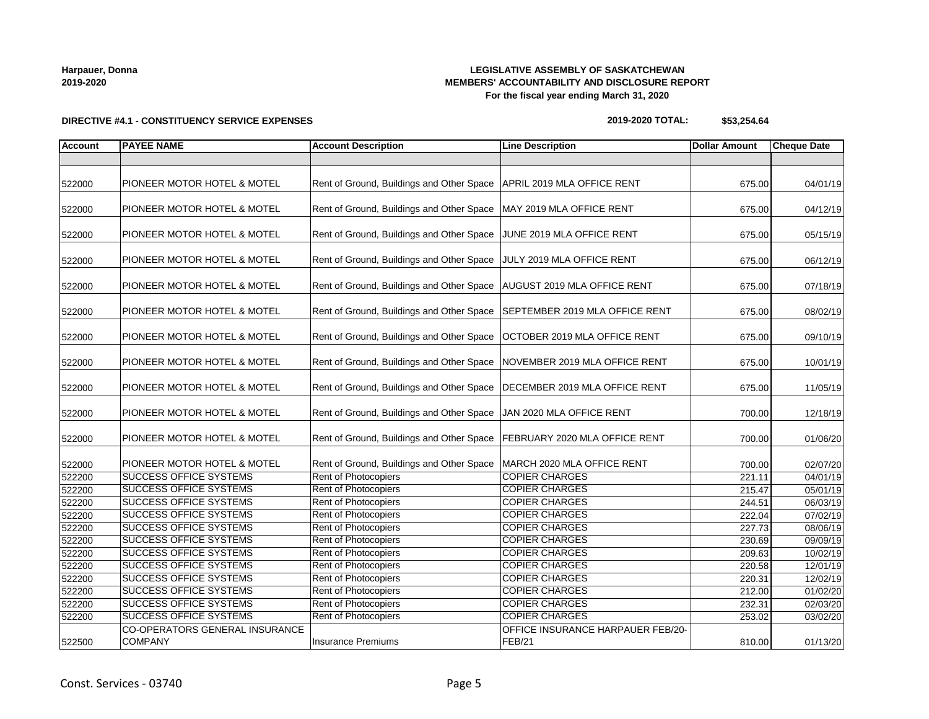## **LEGISLATIVE ASSEMBLY OF SASKATCHEWAN MEMBERS' ACCOUNTABILITY AND DISCLOSURE REPORT For the fiscal year ending March 31, 2020**

**DIRECTIVE #4.1 - CONSTITUENCY SERVICE EXPENSES**

#### **2019-2020 TOTAL: \$53,254.64**

| <b>Account</b> | <b>PAYEE NAME</b>                                | <b>Account Description</b>                                               | <b>Line Description</b>                            | <b>Dollar Amount</b> | <b>Cheque Date</b> |
|----------------|--------------------------------------------------|--------------------------------------------------------------------------|----------------------------------------------------|----------------------|--------------------|
|                |                                                  |                                                                          |                                                    |                      |                    |
| 522000         | PIONEER MOTOR HOTEL & MOTEL                      | Rent of Ground, Buildings and Other Space   APRIL 2019 MLA OFFICE RENT   |                                                    | 675.00               | 04/01/19           |
| 522000         | PIONEER MOTOR HOTEL & MOTEL                      | Rent of Ground, Buildings and Other Space                                | MAY 2019 MLA OFFICE RENT                           | 675.00               | 04/12/19           |
| 522000         | PIONEER MOTOR HOTEL & MOTEL                      | Rent of Ground, Buildings and Other Space                                | JUNE 2019 MLA OFFICE RENT                          | 675.00               | 05/15/19           |
| 522000         | PIONEER MOTOR HOTEL & MOTEL                      | Rent of Ground, Buildings and Other Space                                | JULY 2019 MLA OFFICE RENT                          | 675.00               | 06/12/19           |
| 522000         | PIONEER MOTOR HOTEL & MOTEL                      | Rent of Ground, Buildings and Other Space   AUGUST 2019 MLA OFFICE RENT  |                                                    | 675.00               | 07/18/19           |
| 522000         | PIONEER MOTOR HOTEL & MOTEL                      | Rent of Ground, Buildings and Other Space SEPTEMBER 2019 MLA OFFICE RENT |                                                    | 675.00               | 08/02/19           |
| 522000         | PIONEER MOTOR HOTEL & MOTEL                      | Rent of Ground, Buildings and Other Space                                | <b>OCTOBER 2019 MLA OFFICE RENT</b>                | 675.00               | 09/10/19           |
| 522000         | PIONEER MOTOR HOTEL & MOTEL                      | Rent of Ground, Buildings and Other Space                                | NOVEMBER 2019 MLA OFFICE RENT                      | 675.00               | 10/01/19           |
| 522000         | PIONEER MOTOR HOTEL & MOTEL                      | Rent of Ground, Buildings and Other Space                                | DECEMBER 2019 MLA OFFICE RENT                      | 675.00               | 11/05/19           |
| 522000         | PIONEER MOTOR HOTEL & MOTEL                      | Rent of Ground, Buildings and Other Space                                | JAN 2020 MLA OFFICE RENT                           | 700.00               | 12/18/19           |
| 522000         | PIONEER MOTOR HOTEL & MOTEL                      | Rent of Ground, Buildings and Other Space                                | FEBRUARY 2020 MLA OFFICE RENT                      | 700.00               | 01/06/20           |
| 522000         | PIONEER MOTOR HOTEL & MOTEL                      | Rent of Ground, Buildings and Other Space                                | MARCH 2020 MLA OFFICE RENT                         | 700.00               | 02/07/20           |
| 522200         | <b>SUCCESS OFFICE SYSTEMS</b>                    | Rent of Photocopiers                                                     | <b>COPIER CHARGES</b>                              | 221.11               | 04/01/19           |
| 522200         | <b>SUCCESS OFFICE SYSTEMS</b>                    | Rent of Photocopiers                                                     | <b>COPIER CHARGES</b>                              | 215.47               | 05/01/19           |
| 522200         | <b>SUCCESS OFFICE SYSTEMS</b>                    | Rent of Photocopiers                                                     | <b>COPIER CHARGES</b>                              | 244.51               | 06/03/19           |
| 522200         | <b>SUCCESS OFFICE SYSTEMS</b>                    | Rent of Photocopiers                                                     | <b>COPIER CHARGES</b>                              | 222.04               | 07/02/19           |
| 522200         | <b>SUCCESS OFFICE SYSTEMS</b>                    | Rent of Photocopiers                                                     | <b>COPIER CHARGES</b>                              | 227.73               | 08/06/19           |
| 522200         | <b>SUCCESS OFFICE SYSTEMS</b>                    | Rent of Photocopiers                                                     | <b>COPIER CHARGES</b>                              | 230.69               | 09/09/19           |
| 522200         | <b>SUCCESS OFFICE SYSTEMS</b>                    | <b>Rent of Photocopiers</b>                                              | <b>COPIER CHARGES</b>                              | 209.63               | 10/02/19           |
| 522200         | <b>SUCCESS OFFICE SYSTEMS</b>                    | <b>Rent of Photocopiers</b>                                              | <b>COPIER CHARGES</b>                              | 220.58               | 12/01/19           |
| 522200         | <b>SUCCESS OFFICE SYSTEMS</b>                    | Rent of Photocopiers                                                     | <b>COPIER CHARGES</b>                              | 220.31               | 12/02/19           |
| 522200         | <b>SUCCESS OFFICE SYSTEMS</b>                    | Rent of Photocopiers                                                     | <b>COPIER CHARGES</b>                              | 212.00               | 01/02/20           |
| 522200         | <b>SUCCESS OFFICE SYSTEMS</b>                    | Rent of Photocopiers                                                     | <b>COPIER CHARGES</b>                              | 232.31               | 02/03/20           |
| 522200         | <b>SUCCESS OFFICE SYSTEMS</b>                    | Rent of Photocopiers                                                     | <b>COPIER CHARGES</b>                              | 253.02               | 03/02/20           |
| 522500         | CO-OPERATORS GENERAL INSURANCE<br><b>COMPANY</b> | Insurance Premiums                                                       | OFFICE INSURANCE HARPAUER FEB/20-<br><b>FEB/21</b> | 810.00               | 01/13/20           |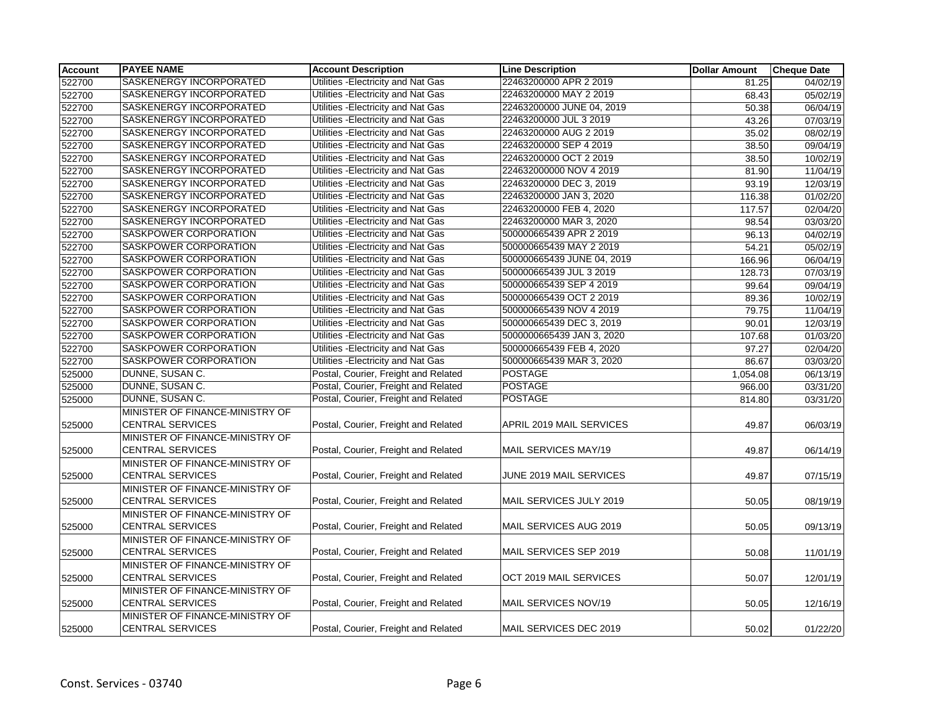| <b>Account</b> | <b>PAYEE NAME</b>               | <b>Account Description</b>           | <b>Line Description</b>    | <b>Dollar Amount</b> | <b>Cheque Date</b> |
|----------------|---------------------------------|--------------------------------------|----------------------------|----------------------|--------------------|
| 522700         | SASKENERGY INCORPORATED         | Utilities - Electricity and Nat Gas  | 22463200000 APR 2 2019     | 81.25                | 04/02/19           |
| 522700         | SASKENERGY INCORPORATED         | Utilities - Electricity and Nat Gas  | 22463200000 MAY 2 2019     | 68.43                | 05/02/19           |
| 522700         | SASKENERGY INCORPORATED         | Utilities - Electricity and Nat Gas  | 22463200000 JUNE 04, 2019  | 50.38                | 06/04/19           |
| 522700         | SASKENERGY INCORPORATED         | Utilities - Electricity and Nat Gas  | 22463200000 JUL 3 2019     | 43.26                | 07/03/19           |
| 522700         | SASKENERGY INCORPORATED         | Utilities - Electricity and Nat Gas  | 22463200000 AUG 2 2019     | 35.02                | 08/02/19           |
| 522700         | SASKENERGY INCORPORATED         | Utilities - Electricity and Nat Gas  | 22463200000 SEP 4 2019     | 38.50                | 09/04/19           |
| 522700         | SASKENERGY INCORPORATED         | Utilities - Electricity and Nat Gas  | 22463200000 OCT 2 2019     | 38.50                | 10/02/19           |
| 522700         | SASKENERGY INCORPORATED         | Utilities - Electricity and Nat Gas  | 224632000000 NOV 4 2019    | 81.90                | 11/04/19           |
| 522700         | SASKENERGY INCORPORATED         | Utilities - Electricity and Nat Gas  | 22463200000 DEC 3, 2019    | 93.19                | 12/03/19           |
| 522700         | SASKENERGY INCORPORATED         | Utilities - Electricity and Nat Gas  | 22463200000 JAN 3, 2020    | 116.38               | 01/02/20           |
| 522700         | SASKENERGY INCORPORATED         | Utilities - Electricity and Nat Gas  | 22463200000 FEB 4, 2020    | 117.57               | 02/04/20           |
| 522700         | SASKENERGY INCORPORATED         | Utilities - Electricity and Nat Gas  | 22463200000 MAR 3, 2020    | 98.54                | 03/03/20           |
| 522700         | SASKPOWER CORPORATION           | Utilities - Electricity and Nat Gas  | 500000665439 APR 2 2019    | 96.13                | 04/02/19           |
| 522700         | SASKPOWER CORPORATION           | Utilities - Electricity and Nat Gas  | 500000665439 MAY 2 2019    | 54.21                | 05/02/19           |
| 522700         | SASKPOWER CORPORATION           | Utilities - Electricity and Nat Gas  | 500000665439 JUNE 04, 2019 | 166.96               | 06/04/19           |
| 522700         | SASKPOWER CORPORATION           | Utilities - Electricity and Nat Gas  | 500000665439 JUL 3 2019    | 128.73               | 07/03/19           |
| 522700         | SASKPOWER CORPORATION           | Utilities - Electricity and Nat Gas  | 500000665439 SEP 4 2019    | 99.64                | 09/04/19           |
| 522700         | SASKPOWER CORPORATION           | Utilities - Electricity and Nat Gas  | 500000665439 OCT 2 2019    | 89.36                | 10/02/19           |
| 522700         | SASKPOWER CORPORATION           | Utilities - Electricity and Nat Gas  | 500000665439 NOV 4 2019    | 79.75                | 11/04/19           |
| 522700         | SASKPOWER CORPORATION           | Utilities - Electricity and Nat Gas  | 500000665439 DEC 3, 2019   | 90.01                | 12/03/19           |
| 522700         | SASKPOWER CORPORATION           | Utilities - Electricity and Nat Gas  | 5000000665439 JAN 3, 2020  | 107.68               | 01/03/20           |
| 522700         | SASKPOWER CORPORATION           | Utilities - Electricity and Nat Gas  | 500000665439 FEB 4, 2020   | 97.27                | 02/04/20           |
| 522700         | SASKPOWER CORPORATION           | Utilities - Electricity and Nat Gas  | 500000665439 MAR 3, 2020   | 86.67                | 03/03/20           |
| 525000         | DUNNE, SUSAN C.                 | Postal, Courier, Freight and Related | <b>POSTAGE</b>             | 1,054.08             | 06/13/19           |
| 525000         | DUNNE, SUSAN C.                 | Postal, Courier, Freight and Related | <b>POSTAGE</b>             | 966.00               | 03/31/20           |
| 525000         | DUNNE, SUSAN C.                 | Postal, Courier, Freight and Related | <b>POSTAGE</b>             | 814.80               | 03/31/20           |
|                | MINISTER OF FINANCE-MINISTRY OF |                                      |                            |                      |                    |
| 525000         | <b>CENTRAL SERVICES</b>         | Postal, Courier, Freight and Related | APRIL 2019 MAIL SERVICES   | 49.87                | 06/03/19           |
|                | MINISTER OF FINANCE-MINISTRY OF |                                      |                            |                      |                    |
| 525000         | <b>CENTRAL SERVICES</b>         | Postal, Courier, Freight and Related | MAIL SERVICES MAY/19       | 49.87                | 06/14/19           |
|                | MINISTER OF FINANCE-MINISTRY OF |                                      |                            |                      |                    |
| 525000         | <b>CENTRAL SERVICES</b>         | Postal, Courier, Freight and Related | JUNE 2019 MAIL SERVICES    | 49.87                | 07/15/19           |
|                | MINISTER OF FINANCE-MINISTRY OF |                                      |                            |                      |                    |
| 525000         | <b>CENTRAL SERVICES</b>         | Postal, Courier, Freight and Related | MAIL SERVICES JULY 2019    | 50.05                | 08/19/19           |
|                | MINISTER OF FINANCE-MINISTRY OF |                                      |                            |                      |                    |
| 525000         | <b>CENTRAL SERVICES</b>         | Postal, Courier, Freight and Related | MAIL SERVICES AUG 2019     | 50.05                | 09/13/19           |
|                | MINISTER OF FINANCE-MINISTRY OF |                                      |                            |                      |                    |
| 525000         | <b>CENTRAL SERVICES</b>         | Postal, Courier, Freight and Related | MAIL SERVICES SEP 2019     | 50.08                | 11/01/19           |
|                | MINISTER OF FINANCE-MINISTRY OF |                                      |                            |                      |                    |
| 525000         | <b>CENTRAL SERVICES</b>         | Postal, Courier, Freight and Related | OCT 2019 MAIL SERVICES     | 50.07                | 12/01/19           |
|                | MINISTER OF FINANCE-MINISTRY OF |                                      |                            |                      |                    |
| 525000         | <b>CENTRAL SERVICES</b>         | Postal, Courier, Freight and Related | MAIL SERVICES NOV/19       | 50.05                | 12/16/19           |
|                | MINISTER OF FINANCE-MINISTRY OF |                                      |                            |                      |                    |
| 525000         | <b>CENTRAL SERVICES</b>         | Postal, Courier, Freight and Related | MAIL SERVICES DEC 2019     | 50.02                | 01/22/20           |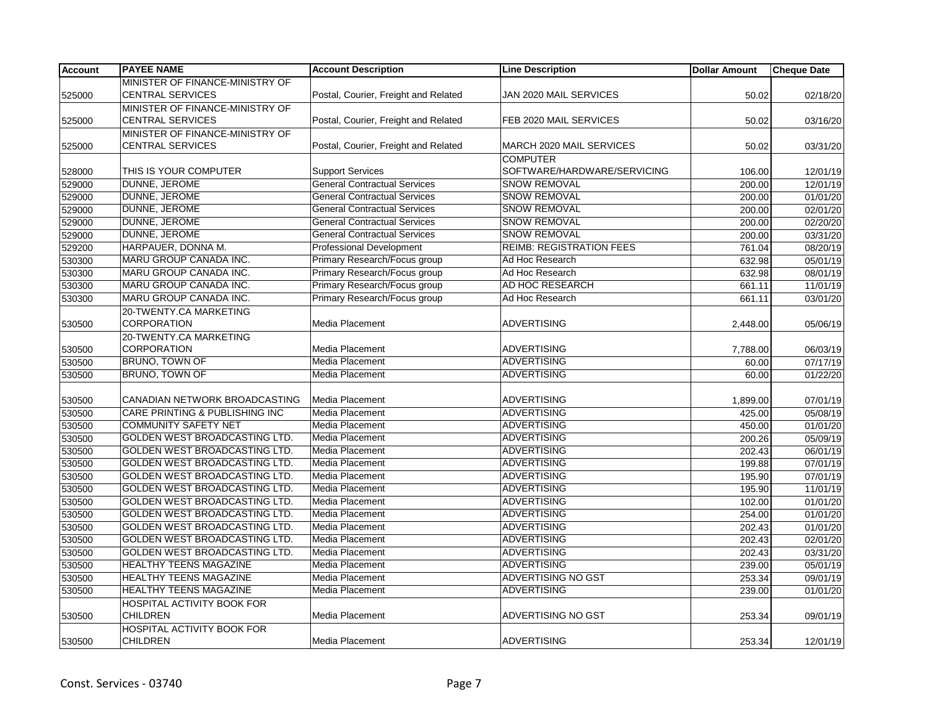| <b>Account</b> | <b>PAYEE NAME</b>                 | <b>Account Description</b>           | <b>Line Description</b>         | <b>Dollar Amount</b> | <b>Cheque Date</b> |
|----------------|-----------------------------------|--------------------------------------|---------------------------------|----------------------|--------------------|
|                | MINISTER OF FINANCE-MINISTRY OF   |                                      |                                 |                      |                    |
| 525000         | <b>CENTRAL SERVICES</b>           | Postal, Courier, Freight and Related | JAN 2020 MAIL SERVICES          | 50.02                | 02/18/20           |
|                | MINISTER OF FINANCE-MINISTRY OF   |                                      |                                 |                      |                    |
| 525000         | <b>CENTRAL SERVICES</b>           | Postal, Courier, Freight and Related | FEB 2020 MAIL SERVICES          | 50.02                | 03/16/20           |
|                | MINISTER OF FINANCE-MINISTRY OF   |                                      |                                 |                      |                    |
| 525000         | <b>CENTRAL SERVICES</b>           | Postal, Courier, Freight and Related | MARCH 2020 MAIL SERVICES        | 50.02                | 03/31/20           |
|                |                                   |                                      | <b>COMPUTER</b>                 |                      |                    |
| 528000         | THIS IS YOUR COMPUTER             | <b>Support Services</b>              | SOFTWARE/HARDWARE/SERVICING     | 106.00               | 12/01/19           |
| 529000         | DUNNE, JEROME                     | <b>General Contractual Services</b>  | <b>SNOW REMOVAL</b>             | 200.00               | 12/01/19           |
| 529000         | DUNNE, JEROME                     | <b>General Contractual Services</b>  | <b>SNOW REMOVAL</b>             | 200.00               | 01/01/20           |
| 529000         | DUNNE, JEROME                     | <b>General Contractual Services</b>  | <b>SNOW REMOVAL</b>             | 200.00               | 02/01/20           |
| 529000         | DUNNE, JEROME                     | <b>General Contractual Services</b>  | <b>SNOW REMOVAL</b>             | 200.00               | 02/20/20           |
| 529000         | DUNNE, JEROME                     | <b>General Contractual Services</b>  | <b>SNOW REMOVAL</b>             | 200.00               | 03/31/20           |
| 529200         | HARPAUER, DONNA M.                | <b>Professional Development</b>      | <b>REIMB: REGISTRATION FEES</b> | 761.04               | 08/20/19           |
| 530300         | MARU GROUP CANADA INC.            | Primary Research/Focus group         | Ad Hoc Research                 | 632.98               | 05/01/19           |
| 530300         | MARU GROUP CANADA INC.            | Primary Research/Focus group         | Ad Hoc Research                 | 632.98               | 08/01/19           |
| 530300         | MARU GROUP CANADA INC.            | Primary Research/Focus group         | AD HOC RESEARCH                 | 661.11               | 11/01/19           |
| 530300         | MARU GROUP CANADA INC.            | Primary Research/Focus group         | Ad Hoc Research                 | 661.11               | 03/01/20           |
|                | 20-TWENTY.CA MARKETING            |                                      |                                 |                      |                    |
| 530500         | <b>CORPORATION</b>                | Media Placement                      | <b>ADVERTISING</b>              | 2,448.00             | 05/06/19           |
|                | 20-TWENTY.CA MARKETING            |                                      |                                 |                      |                    |
| 530500         | <b>CORPORATION</b>                | Media Placement                      | <b>ADVERTISING</b>              | 7,788.00             | 06/03/19           |
| 530500         | <b>BRUNO, TOWN OF</b>             | <b>Media Placement</b>               | <b>ADVERTISING</b>              | 60.00                | 07/17/19           |
| 530500         | <b>BRUNO, TOWN OF</b>             | Media Placement                      | <b>ADVERTISING</b>              | 60.00                | 01/22/20           |
|                |                                   |                                      |                                 |                      |                    |
| 530500         | CANADIAN NETWORK BROADCASTING     | <b>Media Placement</b>               | <b>ADVERTISING</b>              | 1,899.00             | 07/01/19           |
| 530500         | CARE PRINTING & PUBLISHING INC    | <b>Media Placement</b>               | <b>ADVERTISING</b>              | 425.00               | 05/08/19           |
| 530500         | <b>COMMUNITY SAFETY NET</b>       | Media Placement                      | <b>ADVERTISING</b>              | 450.00               | 01/01/20           |
| 530500         | GOLDEN WEST BROADCASTING LTD.     | Media Placement                      | <b>ADVERTISING</b>              | 200.26               | 05/09/19           |
| 530500         | GOLDEN WEST BROADCASTING LTD.     | Media Placement                      | <b>ADVERTISING</b>              | 202.43               | 06/01/19           |
| 530500         | GOLDEN WEST BROADCASTING LTD.     | Media Placement                      | <b>ADVERTISING</b>              | 199.88               | 07/01/19           |
| 530500         | GOLDEN WEST BROADCASTING LTD.     | Media Placement                      | <b>ADVERTISING</b>              | 195.90               | 07/01/19           |
| 530500         | GOLDEN WEST BROADCASTING LTD.     | Media Placement                      | <b>ADVERTISING</b>              | 195.90               | 11/01/19           |
| 530500         | GOLDEN WEST BROADCASTING LTD.     | Media Placement                      | <b>ADVERTISING</b>              | 102.00               | 01/01/20           |
| 530500         | GOLDEN WEST BROADCASTING LTD.     | Media Placement                      | <b>ADVERTISING</b>              | 254.00               | 01/01/20           |
| 530500         | GOLDEN WEST BROADCASTING LTD.     | Media Placement                      | <b>ADVERTISING</b>              | 202.43               | 01/01/20           |
| 530500         | GOLDEN WEST BROADCASTING LTD.     | Media Placement                      | <b>ADVERTISING</b>              | 202.43               | 02/01/20           |
| 530500         | GOLDEN WEST BROADCASTING LTD.     | Media Placement                      | <b>ADVERTISING</b>              | 202.43               | 03/31/20           |
| 530500         | HEALTHY TEENS MAGAZINE            | <b>Media Placement</b>               | <b>ADVERTISING</b>              | 239.00               | 05/01/19           |
| 530500         | HEALTHY TEENS MAGAZINE            | <b>Media Placement</b>               | <b>ADVERTISING NO GST</b>       | 253.34               | 09/01/19           |
| 530500         | HEALTHY TEENS MAGAZINE            | Media Placement                      | <b>ADVERTISING</b>              | 239.00               | 01/01/20           |
|                | <b>HOSPITAL ACTIVITY BOOK FOR</b> |                                      |                                 |                      |                    |
| 530500         | <b>CHILDREN</b>                   | Media Placement                      | ADVERTISING NO GST              | 253.34               | 09/01/19           |
|                | HOSPITAL ACTIVITY BOOK FOR        |                                      |                                 |                      |                    |
| 530500         | <b>CHILDREN</b>                   | Media Placement                      | <b>ADVERTISING</b>              | 253.34               | 12/01/19           |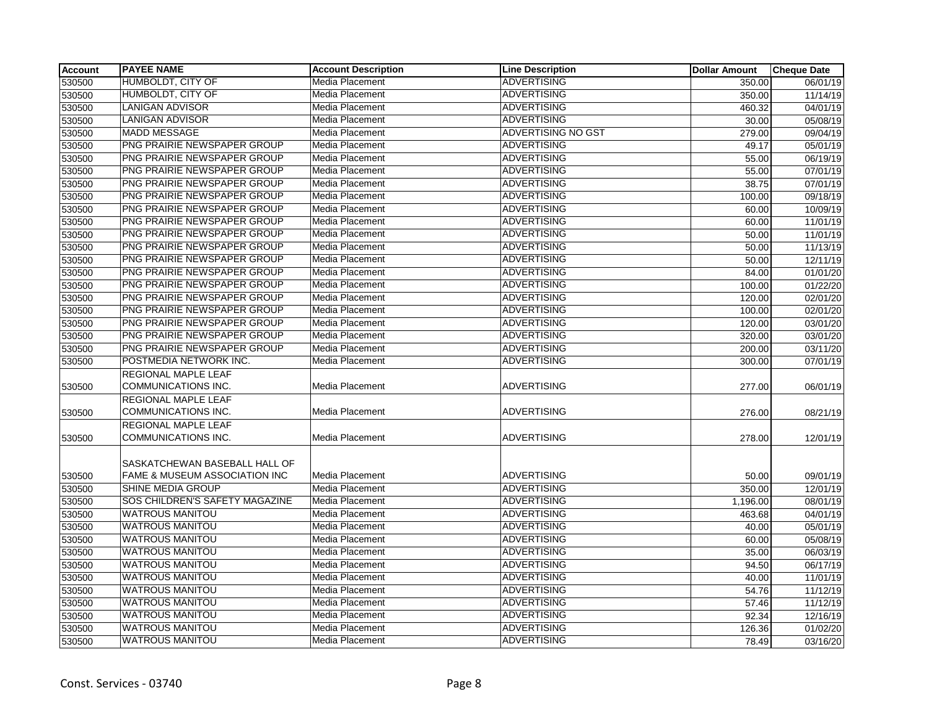| <b>Account</b> | <b>PAYEE NAME</b>              | <b>Account Description</b> | <b>Line Description</b> | <b>Dollar Amount</b> | <b>Cheque Date</b> |
|----------------|--------------------------------|----------------------------|-------------------------|----------------------|--------------------|
| 530500         | HUMBOLDT, CITY OF              | Media Placement            | <b>ADVERTISING</b>      | 350.00               | 06/01/19           |
| 530500         | <b>HUMBOLDT, CITY OF</b>       | <b>Media Placement</b>     | <b>ADVERTISING</b>      | 350.00               | 11/14/19           |
| 530500         | <b>LANIGAN ADVISOR</b>         | Media Placement            | <b>ADVERTISING</b>      | 460.32               | 04/01/19           |
| 530500         | LANIGAN ADVISOR                | Media Placement            | <b>ADVERTISING</b>      | 30.00                | 05/08/19           |
| 530500         | <b>MADD MESSAGE</b>            | Media Placement            | ADVERTISING NO GST      | 279.00               | 09/04/19           |
| 530500         | PNG PRAIRIE NEWSPAPER GROUP    | Media Placement            | <b>ADVERTISING</b>      | 49.17                | 05/01/19           |
| 530500         | PNG PRAIRIE NEWSPAPER GROUP    | Media Placement            | <b>ADVERTISING</b>      | 55.00                | 06/19/19           |
| 530500         | PNG PRAIRIE NEWSPAPER GROUP    | Media Placement            | <b>ADVERTISING</b>      | 55.00                | 07/01/19           |
| 530500         | PNG PRAIRIE NEWSPAPER GROUP    | Media Placement            | <b>ADVERTISING</b>      | 38.75                | 07/01/19           |
| 530500         | PNG PRAIRIE NEWSPAPER GROUP    | Media Placement            | <b>ADVERTISING</b>      | 100.00               | 09/18/19           |
| 530500         | PNG PRAIRIE NEWSPAPER GROUP    | <b>Media Placement</b>     | <b>ADVERTISING</b>      | 60.00                | 10/09/19           |
| 530500         | PNG PRAIRIE NEWSPAPER GROUP    | Media Placement            | <b>ADVERTISING</b>      | 60.00                | 11/01/19           |
| 530500         | PNG PRAIRIE NEWSPAPER GROUP    | Media Placement            | <b>ADVERTISING</b>      | 50.00                | 11/01/19           |
| 530500         | PNG PRAIRIE NEWSPAPER GROUP    | Media Placement            | <b>ADVERTISING</b>      | 50.00                | 11/13/19           |
| 530500         | PNG PRAIRIE NEWSPAPER GROUP    | Media Placement            | <b>ADVERTISING</b>      | 50.00                | 12/11/19           |
| 530500         | PNG PRAIRIE NEWSPAPER GROUP    | Media Placement            | <b>ADVERTISING</b>      | 84.00                | 01/01/20           |
| 530500         | PNG PRAIRIE NEWSPAPER GROUP    | Media Placement            | <b>ADVERTISING</b>      | 100.00               | 01/22/20           |
| 530500         | PNG PRAIRIE NEWSPAPER GROUP    | Media Placement            | <b>ADVERTISING</b>      | 120.00               | 02/01/20           |
| 530500         | PNG PRAIRIE NEWSPAPER GROUP    | Media Placement            | <b>ADVERTISING</b>      | 100.00               | 02/01/20           |
| 530500         | PNG PRAIRIE NEWSPAPER GROUP    | Media Placement            | <b>ADVERTISING</b>      | 120.00               | 03/01/20           |
| 530500         | PNG PRAIRIE NEWSPAPER GROUP    | Media Placement            | <b>ADVERTISING</b>      | 320.00               | 03/01/20           |
| 530500         | PNG PRAIRIE NEWSPAPER GROUP    | Media Placement            | <b>ADVERTISING</b>      | 200.00               | 03/11/20           |
| 530500         | POSTMEDIA NETWORK INC.         | Media Placement            | <b>ADVERTISING</b>      | 300.00               | 07/01/19           |
|                | REGIONAL MAPLE LEAF            |                            |                         |                      |                    |
| 530500         | COMMUNICATIONS INC.            | Media Placement            | <b>ADVERTISING</b>      | 277.00               | 06/01/19           |
|                | REGIONAL MAPLE LEAF            |                            |                         |                      |                    |
| 530500         | COMMUNICATIONS INC.            | Media Placement            | <b>ADVERTISING</b>      | 276.00               | 08/21/19           |
|                | REGIONAL MAPLE LEAF            |                            |                         |                      |                    |
| 530500         | <b>COMMUNICATIONS INC.</b>     | Media Placement            | <b>ADVERTISING</b>      | 278.00               | 12/01/19           |
|                |                                |                            |                         |                      |                    |
|                | SASKATCHEWAN BASEBALL HALL OF  |                            |                         |                      |                    |
| 530500         | FAME & MUSEUM ASSOCIATION INC  | Media Placement            | ADVERTISING             | 50.00                | 09/01/19           |
| 530500         | SHINE MEDIA GROUP              | Media Placement            | <b>ADVERTISING</b>      | 350.00               | 12/01/19           |
| 530500         | SOS CHILDREN'S SAFETY MAGAZINE | Media Placement            | <b>ADVERTISING</b>      | 1,196.00             | 08/01/19           |
| 530500         | <b>WATROUS MANITOU</b>         | <b>Media Placement</b>     | <b>ADVERTISING</b>      | 463.68               | 04/01/19           |
| 530500         | <b>WATROUS MANITOU</b>         | Media Placement            | <b>ADVERTISING</b>      | 40.00                | 05/01/19           |
| 530500         | <b>WATROUS MANITOU</b>         | <b>Media Placement</b>     | <b>ADVERTISING</b>      | 60.00                | 05/08/19           |
| 530500         | <b>WATROUS MANITOU</b>         | Media Placement            | <b>ADVERTISING</b>      | 35.00                | 06/03/19           |
| 530500         | <b>WATROUS MANITOU</b>         | Media Placement            | <b>ADVERTISING</b>      | 94.50                | 06/17/19           |
| 530500         | <b>WATROUS MANITOU</b>         | Media Placement            | <b>ADVERTISING</b>      | 40.00                | 11/01/19           |
| 530500         | WATROUS MANITOU                | Media Placement            | <b>ADVERTISING</b>      | 54.76                | 11/12/19           |
| 530500         | <b>WATROUS MANITOU</b>         | Media Placement            | <b>ADVERTISING</b>      | 57.46                | 11/12/19           |
| 530500         | WATROUS MANITOU                | Media Placement            | <b>ADVERTISING</b>      | 92.34                | 12/16/19           |
| 530500         | WATROUS MANITOU                | Media Placement            | ADVERTISING             | 126.36               | 01/02/20           |
| 530500         | <b>WATROUS MANITOU</b>         | Media Placement            | <b>ADVERTISING</b>      | 78.49                | 03/16/20           |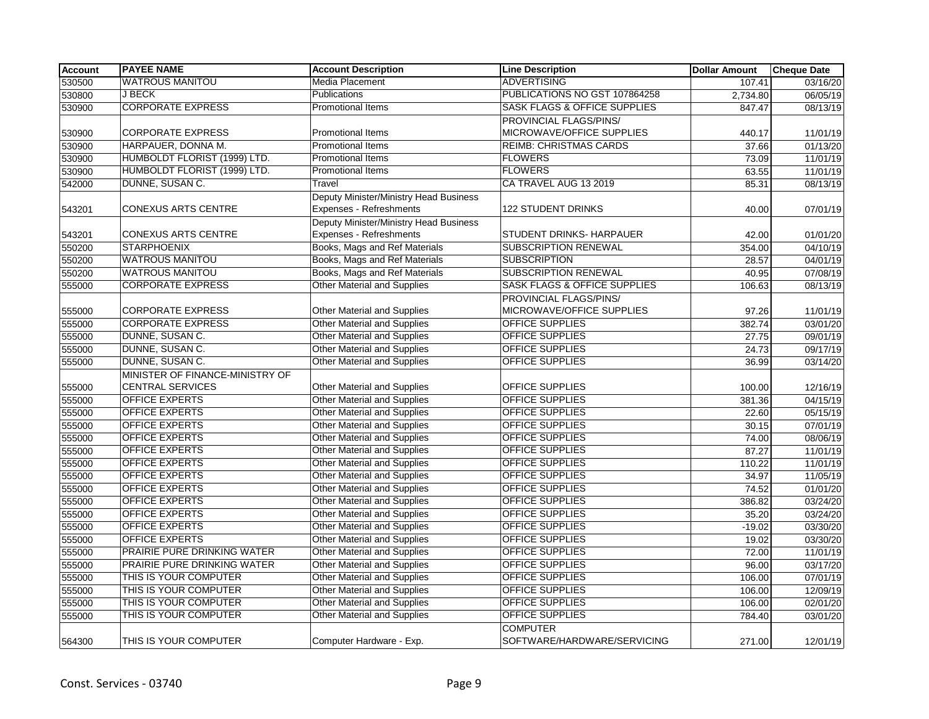| <b>Account</b> | <b>PAYEE NAME</b>               | <b>Account Description</b>                                        | <b>Line Description</b>                        | <b>Dollar Amount</b> | <b>Cheque Date</b> |
|----------------|---------------------------------|-------------------------------------------------------------------|------------------------------------------------|----------------------|--------------------|
| 530500         | <b>WATROUS MANITOU</b>          | Media Placement                                                   | <b>ADVERTISING</b>                             | 107.41               | 03/16/20           |
| 530800         | J BECK                          | <b>Publications</b>                                               | PUBLICATIONS NO GST 107864258                  | 2,734.80             | 06/05/19           |
| 530900         | <b>CORPORATE EXPRESS</b>        | <b>Promotional Items</b>                                          | <b>SASK FLAGS &amp; OFFICE SUPPLIES</b>        | 847.47               | 08/13/19           |
|                |                                 |                                                                   | PROVINCIAL FLAGS/PINS/                         |                      |                    |
| 530900         | <b>CORPORATE EXPRESS</b>        | Promotional Items                                                 | MICROWAVE/OFFICE SUPPLIES                      | 440.17               | 11/01/19           |
| 530900         | HARPAUER, DONNA M.              | <b>Promotional Items</b>                                          | <b>REIMB: CHRISTMAS CARDS</b>                  | 37.66                | 01/13/20           |
| 530900         | HUMBOLDT FLORIST (1999) LTD.    | <b>Promotional Items</b>                                          | <b>FLOWERS</b>                                 | 73.09                | 11/01/19           |
| 530900         | HUMBOLDT FLORIST (1999) LTD.    | <b>Promotional Items</b>                                          | <b>FLOWERS</b>                                 | 63.55                | 11/01/19           |
| 542000         | DUNNE, SUSAN C.                 | Travel                                                            | CA TRAVEL AUG 13 2019                          | 85.31                | 08/13/19           |
| 543201         | <b>CONEXUS ARTS CENTRE</b>      | Deputy Minister/Ministry Head Business<br>Expenses - Refreshments | <b>122 STUDENT DRINKS</b>                      | 40.00                | 07/01/19           |
|                |                                 | Deputy Minister/Ministry Head Business                            |                                                |                      |                    |
| 543201         | <b>CONEXUS ARTS CENTRE</b>      | Expenses - Refreshments                                           | STUDENT DRINKS- HARPAUER                       | 42.00                | 01/01/20           |
| 550200         | <b>STARPHOENIX</b>              | Books, Mags and Ref Materials                                     | <b>SUBSCRIPTION RENEWAL</b>                    | 354.00               | 04/10/19           |
| 550200         | <b>WATROUS MANITOU</b>          | Books, Mags and Ref Materials                                     | <b>SUBSCRIPTION</b>                            | 28.57                | 04/01/19           |
| 550200         | <b>WATROUS MANITOU</b>          | Books, Mags and Ref Materials                                     | <b>SUBSCRIPTION RENEWAL</b>                    | 40.95                | 07/08/19           |
| 555000         | <b>CORPORATE EXPRESS</b>        | <b>Other Material and Supplies</b>                                | <b>SASK FLAGS &amp; OFFICE SUPPLIES</b>        | 106.63               | 08/13/19           |
|                |                                 |                                                                   | PROVINCIAL FLAGS/PINS/                         |                      |                    |
| 555000         | <b>CORPORATE EXPRESS</b>        | Other Material and Supplies                                       | MICROWAVE/OFFICE SUPPLIES                      | 97.26                | 11/01/19           |
| 555000         | <b>CORPORATE EXPRESS</b>        | Other Material and Supplies                                       | OFFICE SUPPLIES                                | 382.74               | 03/01/20           |
| 555000         | DUNNE, SUSAN C.                 | Other Material and Supplies                                       | OFFICE SUPPLIES                                | 27.75                | 09/01/19           |
| 555000         | DUNNE, SUSAN C.                 | Other Material and Supplies                                       | <b>OFFICE SUPPLIES</b>                         | 24.73                | 09/17/19           |
| 555000         | DUNNE, SUSAN C.                 | <b>Other Material and Supplies</b>                                | OFFICE SUPPLIES                                | 36.99                | 03/14/20           |
|                | MINISTER OF FINANCE-MINISTRY OF |                                                                   |                                                |                      |                    |
| 555000         | <b>CENTRAL SERVICES</b>         | Other Material and Supplies                                       | OFFICE SUPPLIES                                | 100.00               | 12/16/19           |
| 555000         | <b>OFFICE EXPERTS</b>           | <b>Other Material and Supplies</b>                                | <b>OFFICE SUPPLIES</b>                         | 381.36               | 04/15/19           |
| 555000         | <b>OFFICE EXPERTS</b>           | Other Material and Supplies                                       | OFFICE SUPPLIES                                | 22.60                | 05/15/19           |
| 555000         | <b>OFFICE EXPERTS</b>           | Other Material and Supplies                                       | <b>OFFICE SUPPLIES</b>                         | 30.15                | 07/01/19           |
| 555000         | <b>OFFICE EXPERTS</b>           | <b>Other Material and Supplies</b>                                | OFFICE SUPPLIES                                | 74.00                | 08/06/19           |
| 555000         | <b>OFFICE EXPERTS</b>           | <b>Other Material and Supplies</b>                                | OFFICE SUPPLIES                                | 87.27                | 11/01/19           |
| 555000         | <b>OFFICE EXPERTS</b>           | <b>Other Material and Supplies</b>                                | <b>OFFICE SUPPLIES</b>                         | 110.22               | 11/01/19           |
| 555000         | <b>OFFICE EXPERTS</b>           | <b>Other Material and Supplies</b>                                | <b>OFFICE SUPPLIES</b>                         | 34.97                | 11/05/19           |
| 555000         | <b>OFFICE EXPERTS</b>           | Other Material and Supplies                                       | <b>OFFICE SUPPLIES</b>                         | 74.52                | 01/01/20           |
| 555000         | <b>OFFICE EXPERTS</b>           | Other Material and Supplies                                       | OFFICE SUPPLIES                                | 386.82               | 03/24/20           |
| 555000         | <b>OFFICE EXPERTS</b>           | <b>Other Material and Supplies</b>                                | OFFICE SUPPLIES                                | 35.20                | 03/24/20           |
| 555000         | <b>OFFICE EXPERTS</b>           | <b>Other Material and Supplies</b>                                | OFFICE SUPPLIES                                | $-19.02$             | 03/30/20           |
| 555000         | <b>OFFICE EXPERTS</b>           | <b>Other Material and Supplies</b>                                | <b>OFFICE SUPPLIES</b>                         | 19.02                | 03/30/20           |
| 555000         | PRAIRIE PURE DRINKING WATER     | Other Material and Supplies                                       | <b>OFFICE SUPPLIES</b>                         | 72.00                | 11/01/19           |
| 555000         | PRAIRIE PURE DRINKING WATER     | <b>Other Material and Supplies</b>                                | OFFICE SUPPLIES                                | 96.00                | 03/17/20           |
| 555000         | THIS IS YOUR COMPUTER           | <b>Other Material and Supplies</b>                                | OFFICE SUPPLIES                                | 106.00               | 07/01/19           |
| 555000         | THIS IS YOUR COMPUTER           | <b>Other Material and Supplies</b>                                | <b>OFFICE SUPPLIES</b>                         | 106.00               | 12/09/19           |
| 555000         | THIS IS YOUR COMPUTER           | Other Material and Supplies                                       | <b>OFFICE SUPPLIES</b>                         | 106.00               | 02/01/20           |
| 555000         | THIS IS YOUR COMPUTER           | <b>Other Material and Supplies</b>                                | OFFICE SUPPLIES                                | 784.40               | 03/01/20           |
| 564300         | THIS IS YOUR COMPUTER           | Computer Hardware - Exp.                                          | <b>COMPUTER</b><br>SOFTWARE/HARDWARE/SERVICING | 271.00               | 12/01/19           |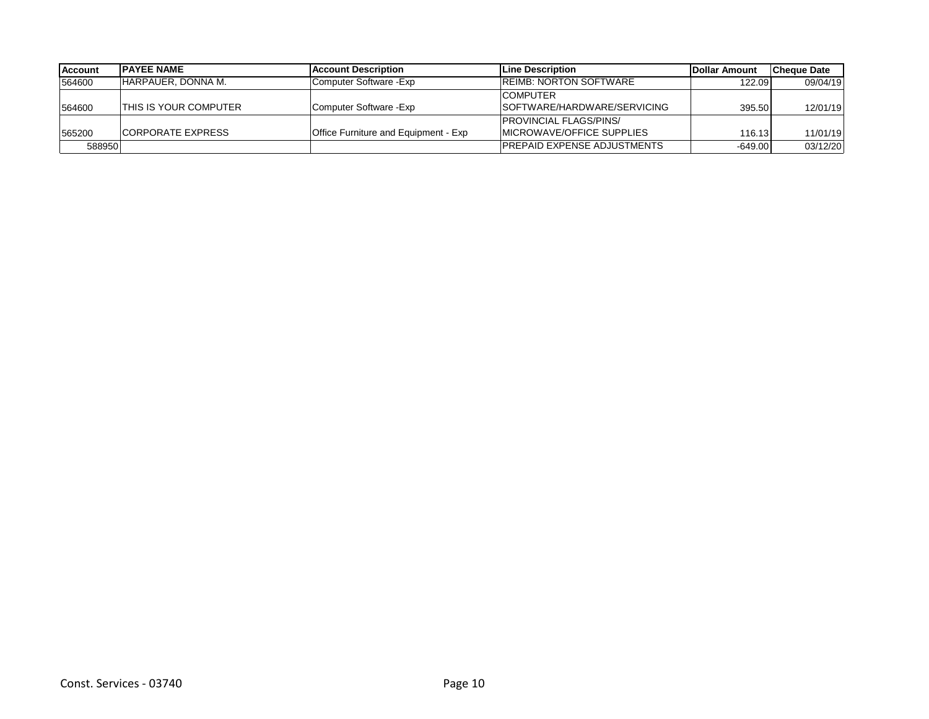| <b>Account</b> | <b>IPAYEE NAME</b>       | <b>IAccount Description</b>          | <b>Line Description</b>            | <b>IDollar Amount</b> | <b>Cheque Date</b> |
|----------------|--------------------------|--------------------------------------|------------------------------------|-----------------------|--------------------|
| 564600         | IHARPAUER. DONNA M.      | Computer Software - Exp              | <b>IREIMB: NORTON SOFTWARE</b>     | 122.09                | 09/04/19           |
|                |                          |                                      | <b>COMPUTER</b>                    |                       |                    |
| 564600         | ITHIS IS YOUR COMPUTER   | Computer Software - Exp              | SOFTWARE/HARDWARE/SERVICING        | 395.50                | 12/01/19           |
|                |                          |                                      | <b>PROVINCIAL FLAGS/PINS/</b>      |                       |                    |
| 565200         | <b>CORPORATE EXPRESS</b> | Office Furniture and Equipment - Exp | IMICROWAVE/OFFICE SUPPLIES         | 116.13                | 11/01/19           |
| 588950         |                          |                                      | <b>PREPAID EXPENSE ADJUSTMENTS</b> | $-649.00$             | 03/12/20           |